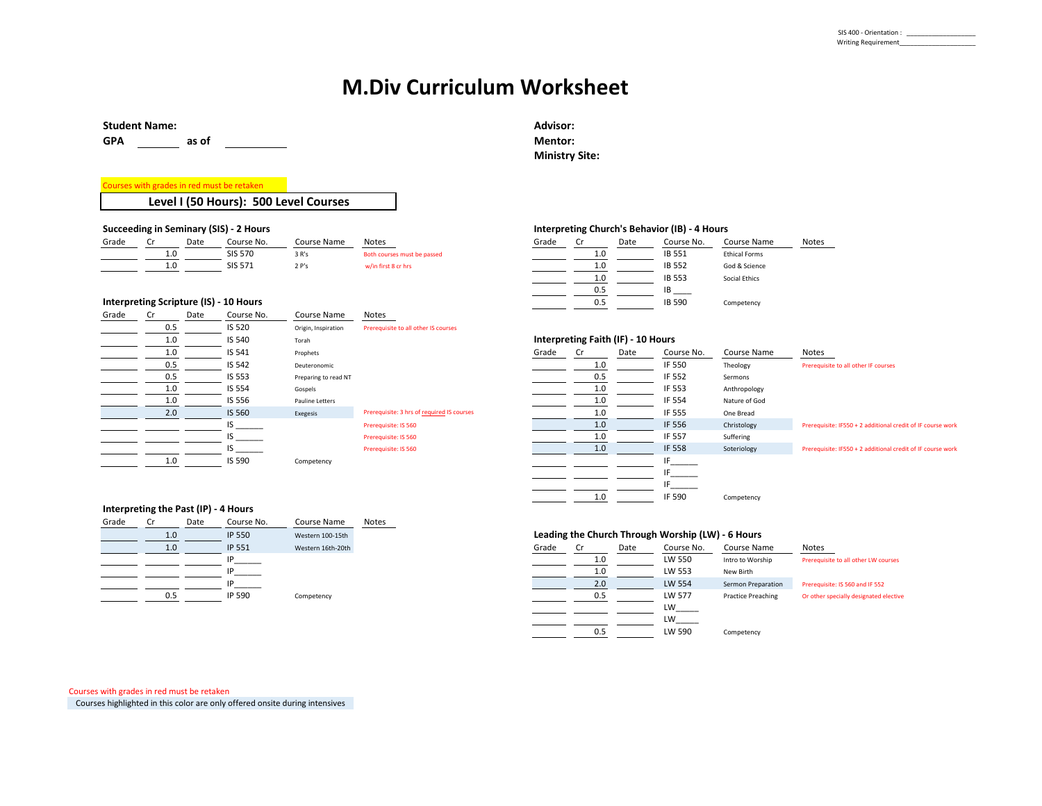# **M.Div Curriculum Worksheet**

#### **Student Name: Advisor:**

GPA as of **and as of the contract of the Mentor:** 

## Courses with grades in red must be retaken

**Level I (50 Hours): 500 Level Courses**

| Succeeding in Seminary (SIS) - 2 Hours |  |
|----------------------------------------|--|
|----------------------------------------|--|

| Grade |            | Date | Course No      | Course Name | <b>Notes</b> | àrade |         | Date | ourse Nc | Course Name               | Notes |
|-------|------------|------|----------------|-------------|--------------|-------|---------|------|----------|---------------------------|-------|
|       |            |      | <b>CIC E70</b> | ים ב        |              |       | <b></b> |      | 3551     | thical Forms <del>؟</del> |       |
|       | <b>1.U</b> |      |                |             |              |       | <b></b> |      | .B 552   | & Science                 |       |

#### **Interpreting Scripture (IS) - 10 Hours**

| Grade | Cr  | Date | Course No. | Course Name          | Notes                                      |       |                                    |      |            |               |
|-------|-----|------|------------|----------------------|--------------------------------------------|-------|------------------------------------|------|------------|---------------|
|       | 0.5 |      | IS 520     | Origin, Inspiration  | Prerequisite to all other IS courses       |       |                                    |      |            |               |
|       | 1.0 |      | IS 540     | Torah                |                                            |       | Interpreting Faith (IF) - 10 Hours |      |            |               |
|       | 1.0 |      | IS 541     | Prophets             |                                            | Grade | Cr                                 | Date | Course No. | Course Nar    |
|       | 0.5 |      | IS 542     | Deuteronomic         |                                            |       | 1.0                                |      | IF 550     | Theology      |
|       | 0.5 |      | IS 553     | Preparing to read NT |                                            |       | 0.5                                |      | IF 552     | Sermons       |
|       | 1.0 |      | IS 554     | Gospels              |                                            |       | 1.0                                |      | IF 553     | Anthropology  |
|       | 1.0 |      | IS 556     | Pauline Letters      |                                            |       | 1.0                                |      | IF 554     | Nature of God |
|       | 2.0 |      | IS 560     | Exegesis             | Prerequisite: 3 hrs of required IS courses |       | 1.0                                |      | IF 555     | One Bread     |
|       |     |      | is         |                      | Prerequisite: IS 560                       |       | 1.0                                |      | IF 556     | Christology   |
|       |     |      | ıь         |                      | Prerequisite: IS 560                       |       | 1.0                                |      | IF 557     | Suffering     |
|       |     |      | IS.        |                      | Prerequisite: IS 560                       |       | 1.0                                |      | IF 558     | Soteriology   |
|       | 1.0 |      | IS 590     | Competency           |                                            |       |                                    |      | IF         |               |

# **Ministry Site:**

#### **Interpreting Church's Behavior (IB) - 4 Hours**

| Grade | Cr  | Date | Course No. | Course Name          | <b>Notes</b> |
|-------|-----|------|------------|----------------------|--------------|
|       | 1.0 |      | IB 551     | <b>Ethical Forms</b> |              |
|       | 1.0 |      | IB 552     | God & Science        |              |
|       | 1.0 |      | IB 553     | Social Ethics        |              |
|       | 0.5 |      | ΙB         |                      |              |
|       | 0.5 |      | IB 590     | Competency           |              |

#### Interpreting Faith (IF) - 10 Hours

| 1.0 | IS 541 | Prophets             |                                            | Grade | Cr  | Date | Course No. | Course Name   | Notes                                                       |
|-----|--------|----------------------|--------------------------------------------|-------|-----|------|------------|---------------|-------------------------------------------------------------|
| 0.5 | IS 542 | Deuteronomic         |                                            |       | 1.0 |      | IF 550     | Theology      | Prerequisite to all other IF courses                        |
| 0.5 | IS 553 | Preparing to read NT |                                            |       | 0.5 |      | IF 552     | Sermons       |                                                             |
| 1.0 | IS 554 | Gospels              |                                            |       | 1.0 |      | IF 553     | Anthropology  |                                                             |
| 1.0 | IS 556 | Pauline Letters      |                                            |       | 1.0 |      | IF 554     | Nature of God |                                                             |
| 2.0 | IS 560 | Exegesis             | Prerequisite: 3 hrs of required IS courses |       | 1.0 |      | IF 555     | One Bread     |                                                             |
|     |        |                      | Prerequisite: IS 560                       |       | 1.0 |      | IF 556     | Christology   | Prerequisite: IF550 + 2 additional credit of IF course work |
|     |        |                      | Prerequisite: IS 560                       |       | 1.0 |      | IF 557     | Suffering     |                                                             |
|     |        |                      | Prerequisite: IS 560                       |       | 1.0 |      | IF 558     | Soteriology   | Prerequisite: IF550 + 2 additional credit of IF course work |
| 1.0 | IS 590 | Competency           |                                            |       |     |      | IF.        |               |                                                             |
|     |        |                      |                                            |       |     |      |            |               |                                                             |
|     |        |                      |                                            |       |     |      |            |               |                                                             |
|     |        |                      |                                            |       | 1.0 |      | IF 590     | Competency    |                                                             |

#### **Interpreting the Past (IP) - 4 Hours**

| Grade |     | Date | Course No.    | Course Name       | <b>Notes</b> |
|-------|-----|------|---------------|-------------------|--------------|
|       | 1.0 |      | <b>IP 550</b> | Western 100-15th  |              |
|       | 1.0 |      | IP 551        | Western 16th-20th |              |
|       |     |      | IP            |                   |              |
|       |     |      | IP            |                   |              |
|       |     |      | IP            |                   |              |
|       | 0.5 |      | IP 590        | Competency        |              |

#### Leading the Church Through Worship (LW) - 6 Hours

| 1.0 | IP 551 | Western 16th-20th | Grade | Cr  | Date | Course No. | Course Name               | Notes                                  |
|-----|--------|-------------------|-------|-----|------|------------|---------------------------|----------------------------------------|
|     | IP     |                   |       | 1.0 |      | LW 550     | Intro to Worship          | Prerequisite to all other LW courses   |
|     | IP     |                   |       | 1.0 |      | LW 553     | New Birth                 |                                        |
|     | IP     |                   |       | 2.0 |      | LW 554     | Sermon Preparation        | Prerequisite: IS 560 and IF 552        |
| 0.5 | IP 590 | Competency        |       | 0.5 |      | LW 577     | <b>Practice Preaching</b> | Or other specially designated elective |
|     |        |                   |       |     |      | LW         |                           |                                        |
|     |        |                   |       |     |      | LW         |                           |                                        |
|     |        |                   |       | 0.5 |      | LW 590     | Competency                |                                        |

Courses with grades in red must be retaken

Courses highlighted in this color are only offered onsite during intensives